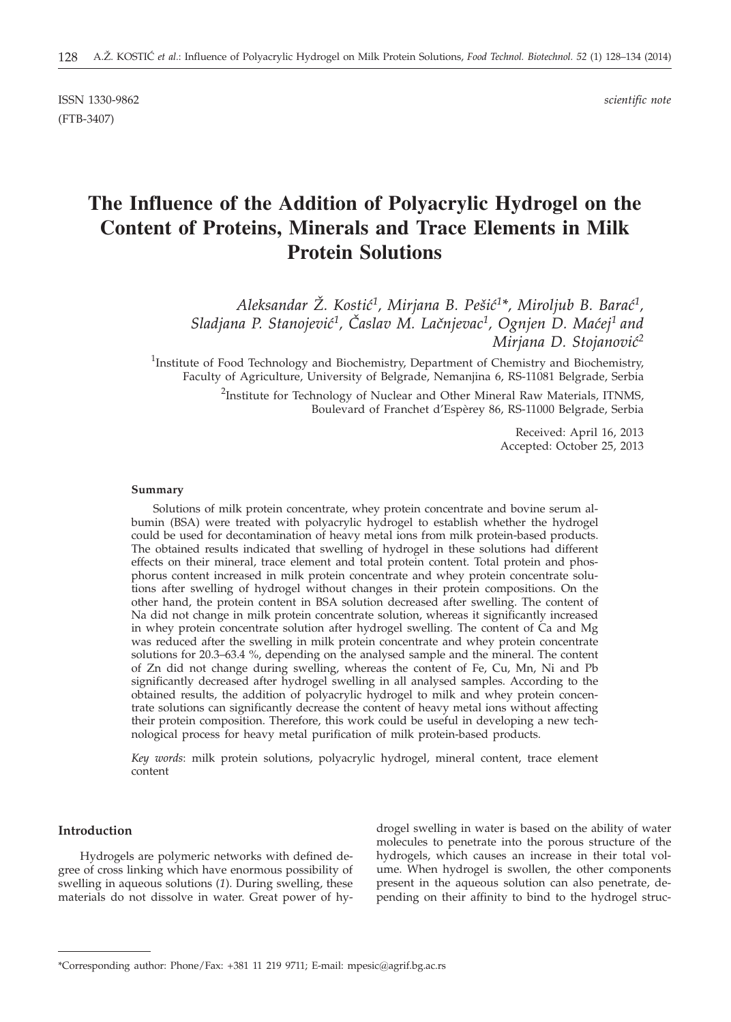ISSN 1330-9862 *scientific note* (FTB-3407)

# **The Influence of the Addition of Polyacrylic Hydrogel on the Content of Proteins, Minerals and Trace Elements in Milk Protein Solutions**

*Aleksandar @. Kosti}1, Mirjana B. Pe{i}1\*, Miroljub B. Bara}1,* Sladjana P. Stanojević<sup>1</sup>, Časlav M. Lačnjevac<sup>1</sup>, Ognjen D. Maćej<sup>1</sup> and *Mirjana D. Stojanović<sup>2</sup>* 

<sup>1</sup>Institute of Food Technology and Biochemistry, Department of Chemistry and Biochemistry, Faculty of Agriculture, University of Belgrade, Nemanjina 6, RS-11081 Belgrade, Serbia

> <sup>2</sup>Institute for Technology of Nuclear and Other Mineral Raw Materials, ITNMS, Boulevard of Franchet d'Espèrey 86, RS-11000 Belgrade, Serbia

> > Received: April 16, 2013 Accepted: October 25, 2013

#### **Summary**

Solutions of milk protein concentrate, whey protein concentrate and bovine serum albumin (BSA) were treated with polyacrylic hydrogel to establish whether the hydrogel could be used for decontamination of heavy metal ions from milk protein-based products. The obtained results indicated that swelling of hydrogel in these solutions had different effects on their mineral, trace element and total protein content. Total protein and phosphorus content increased in milk protein concentrate and whey protein concentrate solutions after swelling of hydrogel without changes in their protein compositions. On the other hand, the protein content in BSA solution decreased after swelling. The content of Na did not change in milk protein concentrate solution, whereas it significantly increased in whey protein concentrate solution after hydrogel swelling. The content of Ca and Mg was reduced after the swelling in milk protein concentrate and whey protein concentrate solutions for 20.3–63.4 %, depending on the analysed sample and the mineral. The content of Zn did not change during swelling, whereas the content of Fe, Cu, Mn, Ni and Pb significantly decreased after hydrogel swelling in all analysed samples. According to the obtained results, the addition of polyacrylic hydrogel to milk and whey protein concentrate solutions can significantly decrease the content of heavy metal ions without affecting their protein composition. Therefore, this work could be useful in developing a new technological process for heavy metal purification of milk protein-based products.

*Key words*: milk protein solutions, polyacrylic hydrogel, mineral content, trace element content

#### **Introduction**

Hydrogels are polymeric networks with defined degree of cross linking which have enormous possibility of swelling in aqueous solutions (*1*). During swelling, these materials do not dissolve in water. Great power of hydrogel swelling in water is based on the ability of water molecules to penetrate into the porous structure of the hydrogels, which causes an increase in their total volume. When hydrogel is swollen, the other components present in the aqueous solution can also penetrate, depending on their affinity to bind to the hydrogel struc-

<sup>\*</sup>Corresponding author: Phone/Fax: +381 11 219 9711; E-mail: mpesic@agrif.bg.ac.rs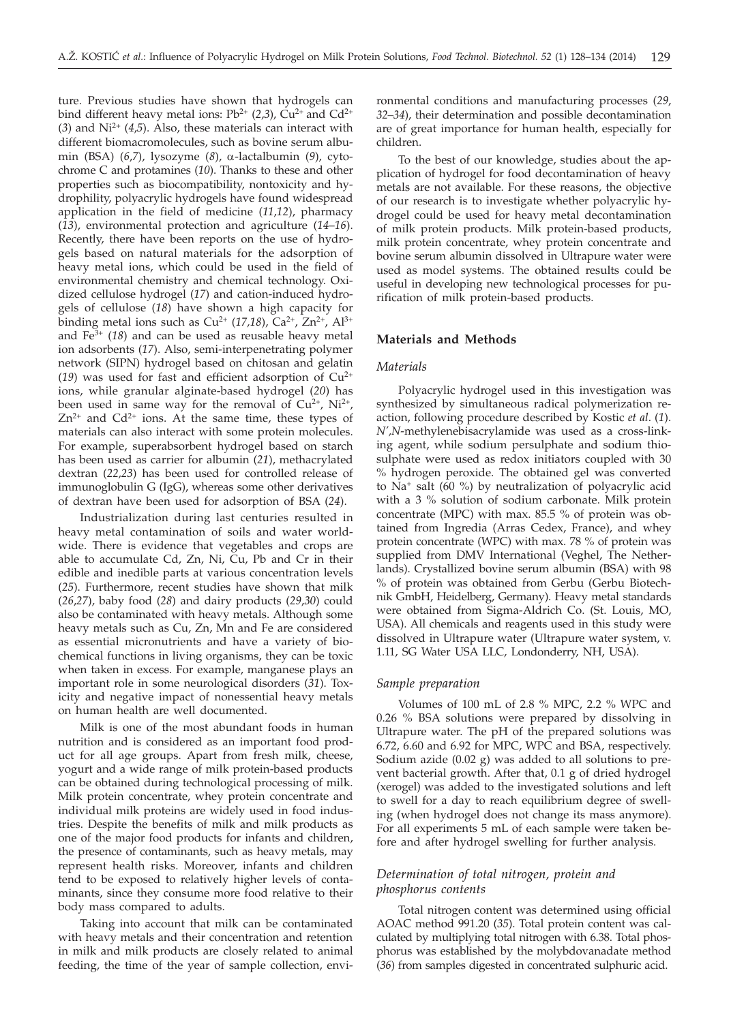ture. Previous studies have shown that hydrogels can bind different heavy metal ions:  $Pb^{2+}$  (2,3),  $Cu^{2+}$  and  $Cd^{2+}$  $(3)$  and Ni<sup>2+</sup>  $(4,5)$ . Also, these materials can interact with different biomacromolecules, such as bovine serum albumin (BSA) (*6*,*7*), lysozyme (*8*), a-lactalbumin (*9*), cytochrome C and protamines (*10*). Thanks to these and other properties such as biocompatibility, nontoxicity and hydrophility, polyacrylic hydrogels have found widespread application in the field of medicine (*11*,*12*), pharmacy (*13*), environmental protection and agriculture (*14*–*16*). Recently, there have been reports on the use of hydrogels based on natural materials for the adsorption of heavy metal ions, which could be used in the field of environmental chemistry and chemical technology. Oxidized cellulose hydrogel (*17*) and cation-induced hydrogels of cellulose (*18*) have shown a high capacity for binding metal ions such as  $Cu^{2+}$  (17,18),  $Ca^{2+}$ ,  $Zn^{2+}$ ,  $Al^{3+}$ and Fe3+ (*18*) and can be used as reusable heavy metal ion adsorbents (*17*). Also, semi-interpenetrating polymer network (SIPN) hydrogel based on chitosan and gelatin (19) was used for fast and efficient adsorption of  $Cu^{2+}$ ions, while granular alginate-based hydrogel (*20*) has been used in same way for the removal of  $Cu^{2+}$ ,  $Ni^{2+}$ ,  $Zn^{2+}$  and  $Cd^{2+}$  ions. At the same time, these types of materials can also interact with some protein molecules. For example, superabsorbent hydrogel based on starch has been used as carrier for albumin (*21*), methacrylated dextran (*22,23*) has been used for controlled release of immunoglobulin G (IgG), whereas some other derivatives of dextran have been used for adsorption of BSA (*24*).

Industrialization during last centuries resulted in heavy metal contamination of soils and water worldwide. There is evidence that vegetables and crops are able to accumulate Cd, Zn, Ni, Cu, Pb and Cr in their edible and inedible parts at various concentration levels (*25*). Furthermore, recent studies have shown that milk (*26*,*27*), baby food (*28*) and dairy products (*29*,*30*) could also be contaminated with heavy metals. Although some heavy metals such as Cu, Zn, Mn and Fe are considered as essential micronutrients and have a variety of biochemical functions in living organisms, they can be toxic when taken in excess. For example, manganese plays an important role in some neurological disorders (*31*). Toxicity and negative impact of nonessential heavy metals on human health are well documented.

Milk is one of the most abundant foods in human nutrition and is considered as an important food product for all age groups. Apart from fresh milk, cheese, yogurt and a wide range of milk protein-based products can be obtained during technological processing of milk. Milk protein concentrate, whey protein concentrate and individual milk proteins are widely used in food industries. Despite the benefits of milk and milk products as one of the major food products for infants and children, the presence of contaminants, such as heavy metals, may represent health risks. Moreover, infants and children tend to be exposed to relatively higher levels of contaminants, since they consume more food relative to their body mass compared to adults.

Taking into account that milk can be contaminated with heavy metals and their concentration and retention in milk and milk products are closely related to animal feeding, the time of the year of sample collection, envi-

ronmental conditions and manufacturing processes (*29*, *32–34*), their determination and possible decontamination are of great importance for human health, especially for children.

To the best of our knowledge, studies about the application of hydrogel for food decontamination of heavy metals are not available. For these reasons, the objective of our research is to investigate whether polyacrylic hydrogel could be used for heavy metal decontamination of milk protein products. Milk protein-based products, milk protein concentrate, whey protein concentrate and bovine serum albumin dissolved in Ultrapure water were used as model systems. The obtained results could be useful in developing new technological processes for purification of milk protein-based products.

## **Materials and Methods**

#### *Materials*

Polyacrylic hydrogel used in this investigation was synthesized by simultaneous radical polymerization reaction, following procedure described by Kostic *et al*. (*1*). *N',N*-methylenebisacrylamide was used as a cross-linking agent, while sodium persulphate and sodium thiosulphate were used as redox initiators coupled with 30 % hydrogen peroxide. The obtained gel was converted to Na+ salt (60 %) by neutralization of polyacrylic acid with a 3 % solution of sodium carbonate. Milk protein concentrate (MPC) with max. 85.5 % of protein was obtained from Ingredia (Arras Cedex, France), and whey protein concentrate (WPC) with max. 78 % of protein was supplied from DMV International (Veghel, The Netherlands). Crystallized bovine serum albumin (BSA) with 98 % of protein was obtained from Gerbu (Gerbu Biotechnik GmbH, Heidelberg, Germany). Heavy metal standards were obtained from Sigma-Aldrich Co. (St. Louis, MO, USA). All chemicals and reagents used in this study were dissolved in Ultrapure water (Ultrapure water system, v. 1.11, SG Water USA LLC, Londonderry, NH, USA).

#### *Sample preparation*

Volumes of 100 mL of 2.8 % MPC, 2.2 % WPC and 0.26 % BSA solutions were prepared by dissolving in Ultrapure water. The pH of the prepared solutions was 6.72, 6.60 and 6.92 for MPC, WPC and BSA, respectively. Sodium azide (0.02 g) was added to all solutions to prevent bacterial growth. After that, 0.1 g of dried hydrogel (xerogel) was added to the investigated solutions and left to swell for a day to reach equilibrium degree of swelling (when hydrogel does not change its mass anymore). For all experiments 5 mL of each sample were taken before and after hydrogel swelling for further analysis.

# *Determination of total nitrogen, protein and phosphorus contents*

Total nitrogen content was determined using official AOAC method 991.20 (*35*). Total protein content was calculated by multiplying total nitrogen with 6.38. Total phosphorus was established by the molybdovanadate method (*36*) from samples digested in concentrated sulphuric acid.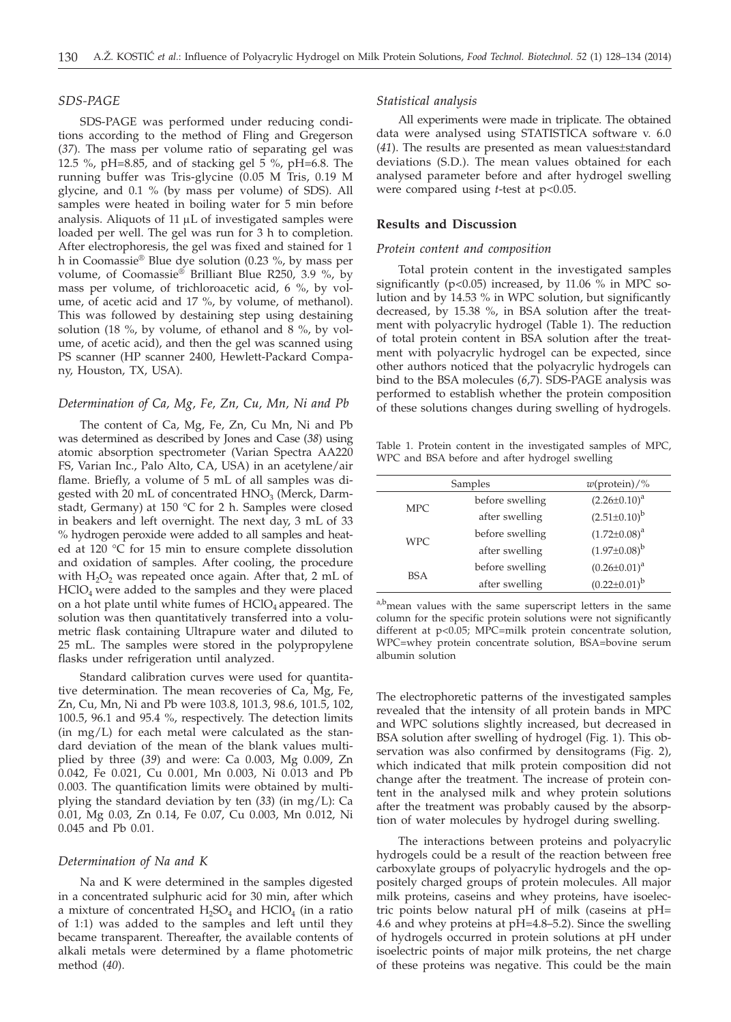# *SDS-PAGE*

SDS-PAGE was performed under reducing conditions according to the method of Fling and Gregerson (*37*). The mass per volume ratio of separating gel was 12.5 %, pH=8.85, and of stacking gel 5 %, pH=6.8. The running buffer was Tris-glycine (0.05 M Tris, 0.19 M glycine, and 0.1 % (by mass per volume) of SDS). All samples were heated in boiling water for 5 min before analysis. Aliquots of  $11 \mu L$  of investigated samples were loaded per well. The gel was run for 3 h to completion. After electrophoresis, the gel was fixed and stained for 1 h in Coomassie® Blue dye solution (0.23 %, by mass per volume, of Coomassie® Brilliant Blue R250, 3.9 %, by mass per volume, of trichloroacetic acid, 6 %, by volume, of acetic acid and 17 %, by volume, of methanol). This was followed by destaining step using destaining solution (18 %, by volume, of ethanol and 8 %, by volume, of acetic acid), and then the gel was scanned using PS scanner (HP scanner 2400, Hewlett-Packard Company, Houston, TX, USA).

## *Determination of Ca, Mg, Fe, Zn, Cu, Mn, Ni and Pb*

The content of Ca, Mg, Fe, Zn, Cu Mn, Ni and Pb was determined as described by Jones and Case (*38*) using atomic absorption spectrometer (Varian Spectra AA220 FS, Varian Inc., Palo Alto, CA, USA) in an acetylene/air flame. Briefly, a volume of 5 mL of all samples was digested with 20 mL of concentrated  $HNO<sub>3</sub>$  (Merck, Darmstadt, Germany) at 150 °C for 2 h. Samples were closed in beakers and left overnight. The next day, 3 mL of 33 % hydrogen peroxide were added to all samples and heated at 120 °C for 15 min to ensure complete dissolution and oxidation of samples. After cooling, the procedure with  $H_2O_2$  was repeated once again. After that, 2 mL of HClO4 were added to the samples and they were placed on a hot plate until white fumes of  $HClO<sub>4</sub>$  appeared. The solution was then quantitatively transferred into a volumetric flask containing Ultrapure water and diluted to 25 mL. The samples were stored in the polypropylene flasks under refrigeration until analyzed.

Standard calibration curves were used for quantitative determination. The mean recoveries of Ca, Mg, Fe, Zn, Cu, Mn, Ni and Pb were 103.8, 101.3, 98.6, 101.5, 102, 100.5, 96.1 and 95.4 %, respectively. The detection limits (in mg/L) for each metal were calculated as the standard deviation of the mean of the blank values multiplied by three (*39*) and were: Ca 0.003, Mg 0.009, Zn 0.042, Fe 0.021, Cu 0.001, Mn 0.003, Ni 0.013 and Pb 0.003. The quantification limits were obtained by multiplying the standard deviation by ten (*33*) (in mg/L): Ca 0.01, Mg 0.03, Zn 0.14, Fe 0.07, Cu 0.003, Mn 0.012, Ni 0.045 and Pb 0.01.

# *Determination of Na and K*

Na and K were determined in the samples digested in a concentrated sulphuric acid for 30 min, after which a mixture of concentrated  $H_2SO_4$  and  $HClO_4$  (in a ratio of 1:1) was added to the samples and left until they became transparent. Thereafter, the available contents of alkali metals were determined by a flame photometric method (*40*).

#### *Statistical analysis*

All experiments were made in triplicate. The obtained data were analysed using STATISTICA software v. 6.0 (*41*). The results are presented as mean values±standard deviations (S.D.). The mean values obtained for each analysed parameter before and after hydrogel swelling were compared using *t*-test at p<0.05.

# **Results and Discussion**

#### *Protein content and composition*

Total protein content in the investigated samples significantly (p<0.05) increased, by 11.06 % in MPC solution and by 14.53 % in WPC solution, but significantly decreased, by 15.38 %, in BSA solution after the treatment with polyacrylic hydrogel (Table 1). The reduction of total protein content in BSA solution after the treatment with polyacrylic hydrogel can be expected, since other authors noticed that the polyacrylic hydrogels can bind to the BSA molecules (*6*,*7*). SDS-PAGE analysis was performed to establish whether the protein composition of these solutions changes during swelling of hydrogels.

Table 1. Protein content in the investigated samples of MPC, WPC and BSA before and after hydrogel swelling

|            | Samples         | $w(\text{protein})/\%$ |  |  |
|------------|-----------------|------------------------|--|--|
| MPC.       | before swelling | $(2.26 \pm 0.10)^a$    |  |  |
|            | after swelling  | $(2.51\pm0.10)^{b}$    |  |  |
| WPC.       | before swelling | $(1.72 \pm 0.08)^a$    |  |  |
|            | after swelling  | $(1.97\pm0.08)^{b}$    |  |  |
|            | before swelling | $(0.26 \pm 0.01)^a$    |  |  |
| <b>BSA</b> | after swelling  | $(0.22 \pm 0.01)^{b}$  |  |  |
|            |                 |                        |  |  |

a,b<sub>mean values with the same superscript letters in the same</sub> column for the specific protein solutions were not significantly different at p<0.05; MPC=milk protein concentrate solution, WPC=whey protein concentrate solution, BSA=bovine serum albumin solution

The electrophoretic patterns of the investigated samples revealed that the intensity of all protein bands in MPC and WPC solutions slightly increased, but decreased in BSA solution after swelling of hydrogel (Fig. 1). This observation was also confirmed by densitograms (Fig. 2), which indicated that milk protein composition did not change after the treatment. The increase of protein content in the analysed milk and whey protein solutions after the treatment was probably caused by the absorption of water molecules by hydrogel during swelling.

The interactions between proteins and polyacrylic hydrogels could be a result of the reaction between free carboxylate groups of polyacrylic hydrogels and the oppositely charged groups of protein molecules. All major milk proteins, caseins and whey proteins, have isoelectric points below natural pH of milk (caseins at pH= 4.6 and whey proteins at pH=4.8–5.2). Since the swelling of hydrogels occurred in protein solutions at pH under isoelectric points of major milk proteins, the net charge of these proteins was negative. This could be the main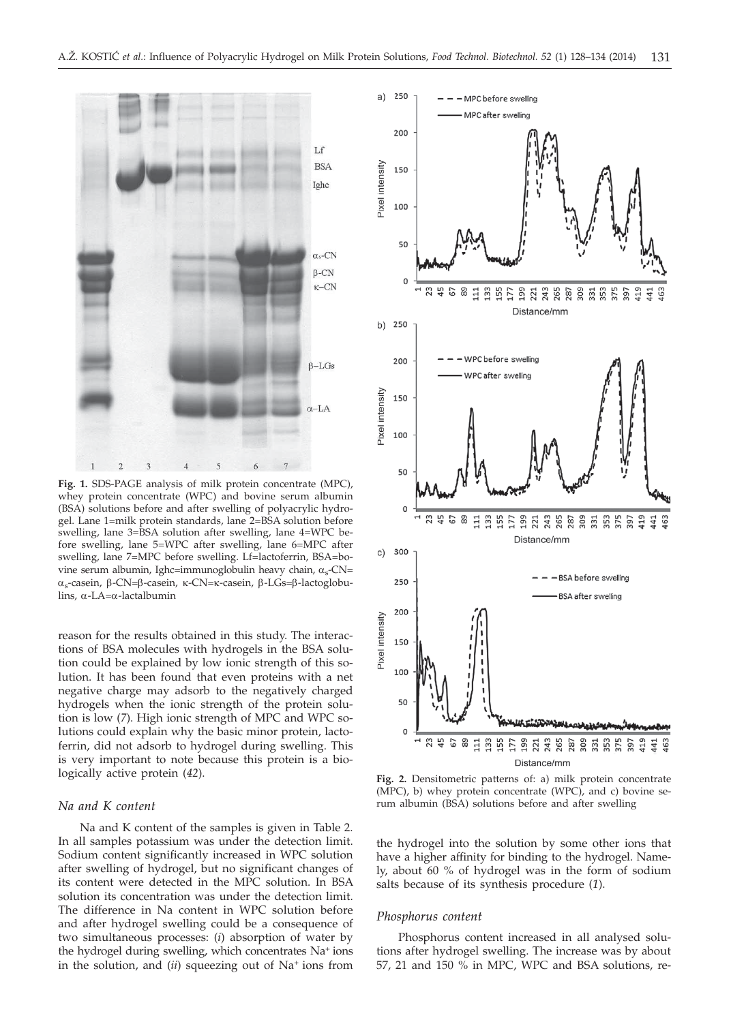

**Fig. 1.** SDS-PAGE analysis of milk protein concentrate (MPC), whey protein concentrate (WPC) and bovine serum albumin (BSA) solutions before and after swelling of polyacrylic hydrogel. Lane 1=milk protein standards, lane 2=BSA solution before swelling, lane 3=BSA solution after swelling, lane 4=WPC before swelling, lane 5=WPC after swelling, lane 6=MPC after swelling, lane 7=MPC before swelling. Lf=lactoferrin, BSA=bovine serum albumin, Ighc=immunoglobulin heavy chain,  $\alpha_s$ -CN= <sup>a</sup>s-casein, b-CN=b-casein, k-CN=k-casein, b-LGs=b-lactoglobulins,  $\alpha$ -LA= $\alpha$ -lactalbumin

reason for the results obtained in this study. The interactions of BSA molecules with hydrogels in the BSA solution could be explained by low ionic strength of this solution. It has been found that even proteins with a net negative charge may adsorb to the negatively charged hydrogels when the ionic strength of the protein solution is low (*7*). High ionic strength of MPC and WPC solutions could explain why the basic minor protein, lactoferrin, did not adsorb to hydrogel during swelling. This is very important to note because this protein is a biologically active protein (*42*).

#### *Na and K content*

Na and K content of the samples is given in Table 2. In all samples potassium was under the detection limit. Sodium content significantly increased in WPC solution after swelling of hydrogel, but no significant changes of its content were detected in the MPC solution. In BSA solution its concentration was under the detection limit. The difference in Na content in WPC solution before and after hydrogel swelling could be a consequence of two simultaneous processes: (*i*) absorption of water by the hydrogel during swelling, which concentrates Na+ ions in the solution, and (*ii*) squeezing out of Na+ ions from



**Fig. 2.** Densitometric patterns of: a) milk protein concentrate (MPC), b) whey protein concentrate (WPC), and c) bovine serum albumin (BSA) solutions before and after swelling

the hydrogel into the solution by some other ions that have a higher affinity for binding to the hydrogel. Namely, about 60 % of hydrogel was in the form of sodium salts because of its synthesis procedure (*1*).

#### *Phosphorus content*

Phosphorus content increased in all analysed solutions after hydrogel swelling. The increase was by about 57, 21 and 150 % in MPC, WPC and BSA solutions, re-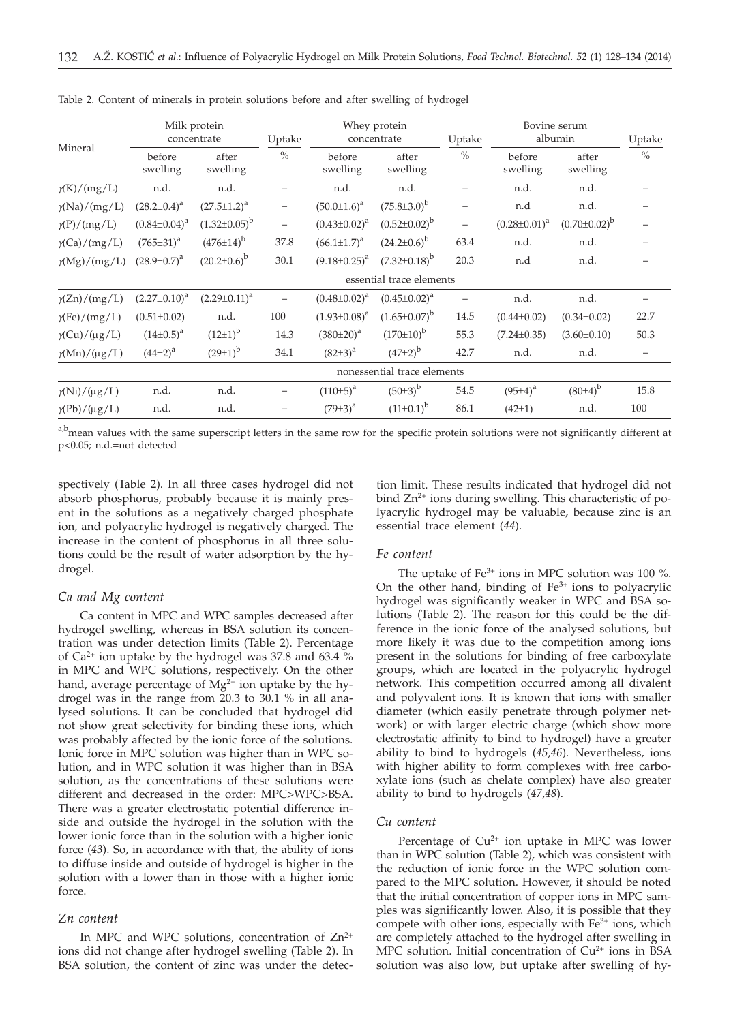| Mineral                | Milk protein<br>concentrate |                       | Uptake                   | Whey protein<br>concentrate |                       | Uptake            | Bovine serum<br>albumin |                       | Uptake            |  |  |
|------------------------|-----------------------------|-----------------------|--------------------------|-----------------------------|-----------------------|-------------------|-------------------------|-----------------------|-------------------|--|--|
|                        | before<br>swelling          | after<br>swelling     | $\frac{0}{0}$            | before<br>swelling          | after<br>swelling     | $\%$              | before<br>swelling      | after<br>swelling     | $\%$              |  |  |
| $\gamma(K)/(mg/L)$     | n.d.                        | n.d.                  |                          | n.d.                        | n.d.                  |                   | n.d.                    | n.d.                  |                   |  |  |
| $\gamma(Na)/(mg/L)$    | $(28.2 \pm 0.4)^a$          | $(27.5 \pm 1.2)^a$    | $\overline{\phantom{m}}$ | $(50.0 \pm 1.6)^a$          | $(75.8 \pm 3.0)^b$    | $\qquad \qquad -$ | n.d                     | n.d.                  |                   |  |  |
| $\gamma(P)/(mg/L)$     | $(0.84 \pm 0.04)^a$         | $(1.32 \pm 0.05)^{b}$ | $\overline{\phantom{m}}$ | $(0.43 \pm 0.02)^a$         | $(0.52 \pm 0.02)^{b}$ | $\qquad \qquad -$ | $(0.28 \pm 0.01)^a$     | $(0.70 \pm 0.02)^{b}$ |                   |  |  |
| $\gamma$ (Ca)/(mg/L)   | $(765 \pm 31)^a$            | $(476\pm14)^{b}$      | 37.8                     | $(66.1 \pm 1.7)^a$          | $(24.2 \pm 0.6)^b$    | 63.4              | n.d.                    | n.d.                  |                   |  |  |
| $\gamma(Mg)/(mg/L)$    | $(28.9 \pm 0.7)^a$          | $(20.2 \pm 0.6)^b$    | 30.1                     | $(9.18 \pm 0.25)^a$         | $(7.32 \pm 0.18)^b$   | 20.3              | n.d                     | n.d.                  |                   |  |  |
|                        | essential trace elements    |                       |                          |                             |                       |                   |                         |                       |                   |  |  |
| $\gamma$ (Zn)/(mg/L)   | $(2.27 \pm 0.10)^a$         | $(2.29 \pm 0.11)^a$   |                          | $(0.48 \pm 0.02)^a$         | $(0.45 \pm 0.02)^a$   |                   | n.d.                    | n.d.                  |                   |  |  |
| $\gamma$ (Fe)/(mg/L)   | $(0.51 \pm 0.02)$           | n.d.                  | 100                      | $(1.93 \pm 0.08)^a$         | $(1.65 \pm 0.07)^b$   | 14.5              | $(0.44\pm0.02)$         | $(0.34 \pm 0.02)$     | 22.7              |  |  |
| $\gamma$ (Cu)/(µg/L)   | $(14\pm0.5)^{a}$            | $(12\pm1)^{b}$        | 14.3                     | $(380\pm20)^a$              | $(170\pm10)^{b}$      | 55.3              | $(7.24 \pm 0.35)$       | $(3.60 \pm 0.10)$     | 50.3              |  |  |
| $\gamma(Mn)/(\mu g/L)$ | $(44\pm2)^{a}$              | $(29\pm1)^{b}$        | 34.1                     | $(82\pm3)^{a}$              | $(47\pm2)^{b}$        | 42.7              | n.d.                    | n.d.                  | $\qquad \qquad -$ |  |  |
|                        | nonessential trace elements |                       |                          |                             |                       |                   |                         |                       |                   |  |  |
| $\gamma$ (Ni)/(µg/L)   | n.d.                        | n.d.                  |                          | $(110±5)^{a}$               | $(50±3)^{b}$          | 54.5              | $(95±4)^{a}$            | $(80±4)^{b}$          | 15.8              |  |  |
| $\gamma$ (Pb)/(µg/L)   | n.d.                        | n.d.                  |                          | $(79 \pm 3)^{a}$            | $(11\pm0.1)^b$        | 86.1              | $(42\pm1)$              | n.d.                  | 100               |  |  |

Table 2. Content of minerals in protein solutions before and after swelling of hydrogel

a,bmean values with the same superscript letters in the same row for the specific protein solutions were not significantly different at p<0.05; n.d.=not detected

spectively (Table 2). In all three cases hydrogel did not absorb phosphorus, probably because it is mainly present in the solutions as a negatively charged phosphate ion, and polyacrylic hydrogel is negatively charged. The increase in the content of phosphorus in all three solutions could be the result of water adsorption by the hydrogel.

## *Ca and Mg content*

Ca content in MPC and WPC samples decreased after hydrogel swelling, whereas in BSA solution its concentration was under detection limits (Table 2). Percentage of Ca<sup>2+</sup> ion uptake by the hydrogel was 37.8 and 63.4  $\%$ in MPC and WPC solutions, respectively. On the other hand, average percentage of  $Mg^{2+}$  ion uptake by the hydrogel was in the range from 20.3 to 30.1 % in all analysed solutions. It can be concluded that hydrogel did not show great selectivity for binding these ions, which was probably affected by the ionic force of the solutions. Ionic force in MPC solution was higher than in WPC solution, and in WPC solution it was higher than in BSA solution, as the concentrations of these solutions were different and decreased in the order: MPC>WPC>BSA. There was a greater electrostatic potential difference inside and outside the hydrogel in the solution with the lower ionic force than in the solution with a higher ionic force (*43*). So, in accordance with that, the ability of ions to diffuse inside and outside of hydrogel is higher in the solution with a lower than in those with a higher ionic force.

# *Zn content*

In MPC and WPC solutions, concentration of  $Zn^{2+}$ ions did not change after hydrogel swelling (Table 2). In BSA solution, the content of zinc was under the detection limit. These results indicated that hydrogel did not bind Zn<sup>2+</sup> ions during swelling. This characteristic of polyacrylic hydrogel may be valuable, because zinc is an essential trace element (*44*).

## *Fe content*

The uptake of  $Fe^{3+}$  ions in MPC solution was 100 %. On the other hand, binding of  $Fe<sup>3+</sup>$  ions to polyacrylic hydrogel was significantly weaker in WPC and BSA solutions (Table 2). The reason for this could be the difference in the ionic force of the analysed solutions, but more likely it was due to the competition among ions present in the solutions for binding of free carboxylate groups, which are located in the polyacrylic hydrogel network. This competition occurred among all divalent and polyvalent ions. It is known that ions with smaller diameter (which easily penetrate through polymer network) or with larger electric charge (which show more electrostatic affinity to bind to hydrogel) have a greater ability to bind to hydrogels (*45*,*46*). Nevertheless, ions with higher ability to form complexes with free carboxylate ions (such as chelate complex) have also greater ability to bind to hydrogels (*47*,*48*).

# *Cu content*

Percentage of Cu<sup>2+</sup> ion uptake in MPC was lower than in WPC solution (Table 2), which was consistent with the reduction of ionic force in the WPC solution compared to the MPC solution. However, it should be noted that the initial concentration of copper ions in MPC samples was significantly lower. Also, it is possible that they compete with other ions, especially with  $Fe<sup>3+</sup>$  ions, which are completely attached to the hydrogel after swelling in MPC solution. Initial concentration of  $Cu<sup>2+</sup>$  ions in BSA solution was also low, but uptake after swelling of hy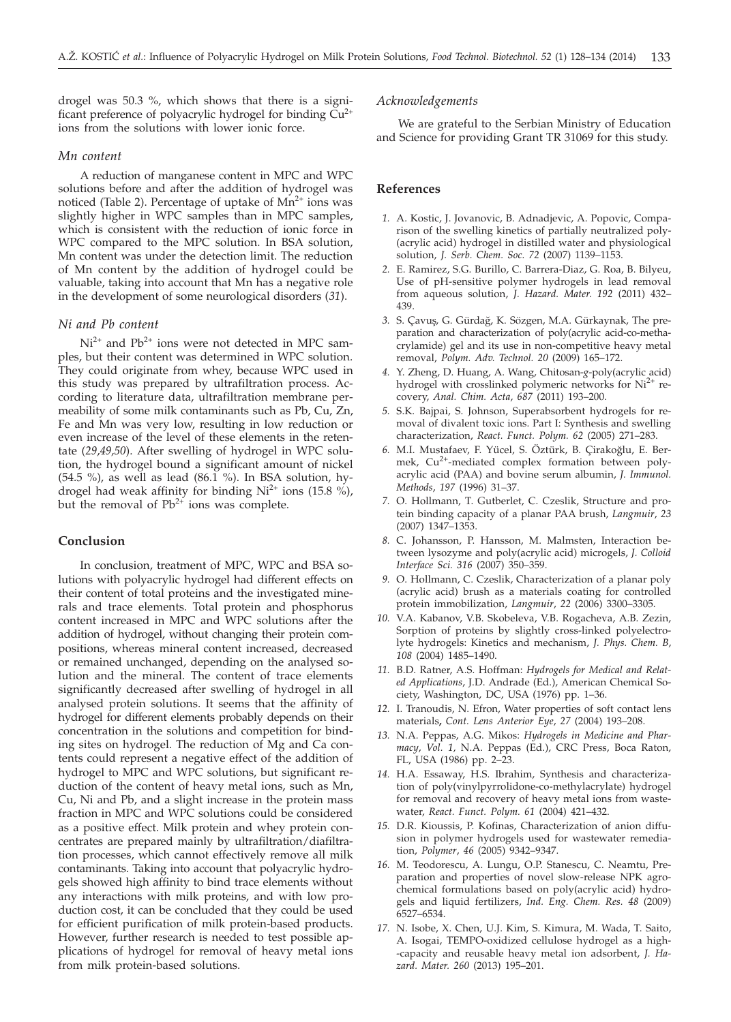drogel was 50.3 %, which shows that there is a significant preference of polyacrylic hydrogel for binding  $\tilde{Cu}^{2+}$ ions from the solutions with lower ionic force.

## *Mn content*

A reduction of manganese content in MPC and WPC solutions before and after the addition of hydrogel was noticed (Table 2). Percentage of uptake of  $Mn^{2+}$  ions was slightly higher in WPC samples than in MPC samples, which is consistent with the reduction of ionic force in WPC compared to the MPC solution. In BSA solution, Mn content was under the detection limit. The reduction of Mn content by the addition of hydrogel could be valuable, taking into account that Mn has a negative role in the development of some neurological disorders (*31*).

# *Ni and Pb content*

 $Ni<sup>2+</sup>$  and Pb<sup>2+</sup> ions were not detected in MPC samples, but their content was determined in WPC solution. They could originate from whey, because WPC used in this study was prepared by ultrafiltration process. According to literature data, ultrafiltration membrane permeability of some milk contaminants such as Pb, Cu, Zn, Fe and Mn was very low, resulting in low reduction or even increase of the level of these elements in the retentate (*29*,*49,50*). After swelling of hydrogel in WPC solution, the hydrogel bound a significant amount of nickel (54.5 %), as well as lead (86.1 %). In BSA solution, hydrogel had weak affinity for binding  $Ni^{2+}$  ions (15.8 %), but the removal of  $Pb^{2+}$  ions was complete.

# **Conclusion**

In conclusion, treatment of MPC, WPC and BSA solutions with polyacrylic hydrogel had different effects on their content of total proteins and the investigated minerals and trace elements. Total protein and phosphorus content increased in MPC and WPC solutions after the addition of hydrogel, without changing their protein compositions, whereas mineral content increased, decreased or remained unchanged, depending on the analysed solution and the mineral. The content of trace elements significantly decreased after swelling of hydrogel in all analysed protein solutions. It seems that the affinity of hydrogel for different elements probably depends on their concentration in the solutions and competition for binding sites on hydrogel. The reduction of Mg and Ca contents could represent a negative effect of the addition of hydrogel to MPC and WPC solutions, but significant reduction of the content of heavy metal ions, such as Mn, Cu, Ni and Pb, and a slight increase in the protein mass fraction in MPC and WPC solutions could be considered as a positive effect. Milk protein and whey protein concentrates are prepared mainly by ultrafiltration/diafiltration processes, which cannot effectively remove all milk contaminants. Taking into account that polyacrylic hydrogels showed high affinity to bind trace elements without any interactions with milk proteins, and with low production cost, it can be concluded that they could be used for efficient purification of milk protein-based products. However, further research is needed to test possible applications of hydrogel for removal of heavy metal ions from milk protein-based solutions.

#### *Acknowledgements*

We are grateful to the Serbian Ministry of Education and Science for providing Grant TR 31069 for this study.

## **References**

- *1.* A. Kostic, J. Jovanovic, B. Adnadjevic, A. Popovic, Comparison of the swelling kinetics of partially neutralized poly- (acrylic acid) hydrogel in distilled water and physiological solution, *J. Serb. Chem. Soc. 72* (2007) 1139–1153.
- *2.* E. Ramirez, S.G. Burillo, C. Barrera-Diaz, G. Roa, B. Bilyeu, Use of pH-sensitive polymer hydrogels in lead removal from aqueous solution, *J. Hazard. Mater. 192* (2011) 432– 439.
- 3. S. Çavuş, G. Gürdağ, K. Sözgen, M.A. Gürkaynak, The preparation and characterization of poly(acrylic acid-co-methacrylamide) gel and its use in non-competitive heavy metal removal, *Polym. Adv. Technol. 20* (2009) 165–172.
- *4.* Y. Zheng, D. Huang, A. Wang, Chitosan-*g*-poly(acrylic acid) hydrogel with crosslinked polymeric networks for  $Ni<sup>2+</sup>$  recovery, *Anal. Chim. Acta*, *687* (2011) 193–200.
- *5.* S.K. Bajpai, S. Johnson, Superabsorbent hydrogels for removal of divalent toxic ions. Part I: Synthesis and swelling characterization, *React. Funct. Polym. 62* (2005) 271–283.
- 6. M.I. Mustafaev, F. Yücel, S. Öztürk, B. Çirakoğlu, E. Bermek, Cu<sup>2+</sup>-mediated complex formation between polyacrylic acid (PAA) and bovine serum albumin, *J. Immunol. Methods*, *197* (1996) 31–37.
- *7.* O. Hollmann, T. Gutberlet, C. Czeslik, Structure and protein binding capacity of a planar PAA brush, *Langmuir*, *23* (2007) 1347–1353.
- *8.* C. Johansson, P. Hansson, M. Malmsten, Interaction between lysozyme and poly(acrylic acid) microgels, *J. Colloid Interface Sci. 316* (2007) 350–359.
- *9.* O. Hollmann, C. Czeslik, Characterization of a planar poly (acrylic acid) brush as a materials coating for controlled protein immobilization, *Langmuir*, *22* (2006) 3300–3305.
- *10.* V.A. Kabanov, V.B. Skobeleva, V.B. Rogacheva, A.B. Zezin, Sorption of proteins by slightly cross-linked polyelectrolyte hydrogels: Kinetics and mechanism, *J. Phys. Chem. B*, *108* (2004) 1485–1490.
- *11.* B.D. Ratner, A.S. Hoffman: *Hydrogels for Medical and Related Applications*, J.D. Andrade (Ed.), American Chemical Society, Washington, DC, USA (1976) pp. 1–36.
- *12.* I. Tranoudis, N. Efron, Water properties of soft contact lens materials**,** *Cont. Lens Anterior Eye*, *27* (2004) 193–208.
- *13.* N.A. Peppas, A.G. Mikos: *Hydrogels in Medicine and Pharmacy*, *Vol. 1,* N.A. Peppas (Ed.), CRC Press, Boca Raton, FL, USA (1986) pp. 2–23.
- *14.* H.A. Essaway, H.S. Ibrahim, Synthesis and characterization of poly(vinylpyrrolidone-co-methylacrylate) hydrogel for removal and recovery of heavy metal ions from wastewater, *React. Funct. Polym. 61* (2004) 421–432.
- *15.* D.R. Kioussis, P. Kofinas, Characterization of anion diffusion in polymer hydrogels used for wastewater remediation, *Polymer*, *46* (2005) 9342–9347.
- *16.* M. Teodorescu, A. Lungu, O.P. Stanescu, C. Neamtu, Preparation and properties of novel slow-release NPK agrochemical formulations based on poly(acrylic acid) hydrogels and liquid fertilizers, *Ind. Eng. Chem. Res. 48* (2009) 6527–6534.
- *17.* N. Isobe, X. Chen, U.J. Kim, S. Kimura, M. Wada, T. Saito, A. Isogai, TEMPO-oxidized cellulose hydrogel as a high- -capacity and reusable heavy metal ion adsorbent, *J. Hazard. Mater. 260* (2013) 195–201.